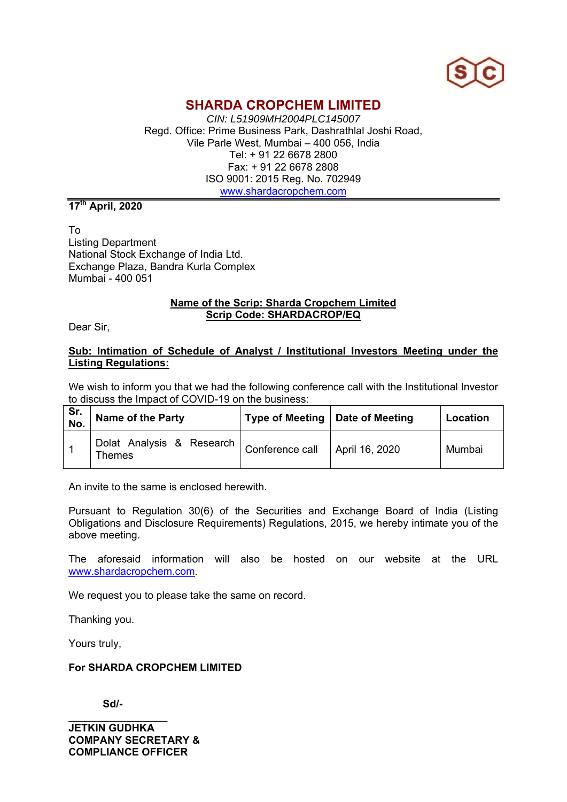

### **SHARDA CROPCHEM LIMITED**

*CIN: L51909MH2004PLC145007*  Regd. Office: Prime Business Park, Dashrathlal Joshi Road, Vile Parle West, Mumbai – 400 056, India Tel: + 91 22 6678 2800 Fax: + 91 22 6678 2808 ISO 9001: 2015 Reg. No. 702949 www.shardacropchem.com

**17th April, 2020** 

To Listing Department National Stock Exchange of India Ltd. Exchange Plaza, Bandra Kurla Complex Mumbai - 400 051

#### **Name of the Scrip: Sharda Cropchem Limited Scrip Code: SHARDACROP/EQ**

Dear Sir,

#### **Sub: Intimation of Schedule of Analyst / Institutional Investors Meeting under the Listing Regulations:**

We wish to inform you that we had the following conference call with the Institutional Investor to discuss the Impact of COVID-19 on the business:

| Sr.<br>No. | Name of the Party                                                             | Type of Meeting   Date of Meeting | Location |
|------------|-------------------------------------------------------------------------------|-----------------------------------|----------|
|            | Dolat Analysis & Research   Conference call   April 16, 2020<br><b>Themes</b> |                                   | Mumbai   |

An invite to the same is enclosed herewith.

Pursuant to Regulation 30(6) of the Securities and Exchange Board of India (Listing Obligations and Disclosure Requirements) Regulations, 2015, we hereby intimate you of the above meeting.

The aforesaid information will also be hosted on our website at the URL www.shardacropchem.com.

We request you to please take the same on record.

Thanking you.

Yours truly,

#### **For SHARDA CROPCHEM LIMITED**

 **Sd/-** 

**\_\_\_\_\_\_\_\_\_\_\_\_\_\_\_\_\_ JETKIN GUDHKA COMPANY SECRETARY & COMPLIANCE OFFICER**